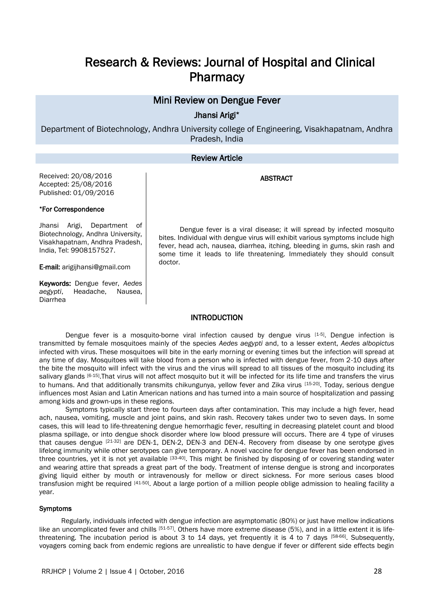# Research & Reviews: Journal of Hospital and Clinical **Pharmacy**

# Mini Review on Dengue Fever

Jhansi Arigi\*

Department of Biotechnology, Andhra University college of Engineering, Visakhapatnam, Andhra Pradesh, India

# Review Article

ABSTRACT

Received: 20/08/2016 Accepted: 25/08/2016 Published: 01/09/2016

#### \*For Correspondence

Jhansi Arigi, Department of Biotechnology, Andhra University, Visakhapatnam, Andhra Pradesh, India, Tel: 9908157527.

E-mail: arigijhansi@gmail.com

Keywords: Dengue fever, *Aedes aegypti*, Headache, Nausea, Diarrhea

Dengue fever is a viral disease; it will spread by infected mosquito bites. Individual with dengue virus will exhibit various symptoms include high fever, head ach, nausea, diarrhea, itching, bleeding in gums, skin rash and some time it leads to life threatening. Immediately they should consult doctor.

## **INTRODUCTION**

Dengue fever is a mosquito-borne viral infection caused by dengue virus [1-5]. Dengue infection is transmitted by female mosquitoes mainly of the species *Aedes aegypti* and, to a lesser extent, *Aedes albopictus* infected with virus. These mosquitoes will bite in the early morning or evening times but the infection will spread at any time of day. Mosquitoes will take blood from a person who is infected with dengue fever, from 2-10 days after the bite the mosquito will infect with the virus and the virus will spread to all tissues of the mosquito including its salivary glands [6-15]. That virus will not affect mosquito but it will be infected for its life time and transfers the virus to humans. And that additionally transmits chikungunya, yellow fever and Zika virus [15-20]. Today, serious dengue influences most Asian and Latin American nations and has turned into a main source of hospitalization and passing among kids and grown-ups in these regions.

Symptoms typically start three to fourteen days after contamination. This may include a high fever, head ach, nausea, vomiting, muscle and joint pains, and skin rash. Recovery takes under two to seven days. In some cases, this will lead to life-threatening dengue hemorrhagic fever, resulting in decreasing platelet count and blood plasma spillage, or into dengue shock disorder where low blood pressure will occurs. There are 4 type of viruses that causes dengue [21-32] are DEN-1, DEN-2, DEN-3 and DEN-4. Recovery from disease by one serotype gives lifelong immunity while other serotypes can give temporary. A novel vaccine for dengue fever has been endorsed in three countries, yet it is not yet available [33-40]. This might be finished by disposing of or covering standing water and wearing attire that spreads a great part of the body. Treatment of intense dengue is strong and incorporates giving liquid either by mouth or intravenously for mellow or direct sickness. For more serious cases blood transfusion might be required [41-50]. About a large portion of a million people oblige admission to healing facility a year.

#### Symptoms

 Regularly, individuals infected with dengue infection are asymptomatic (80%) or just have mellow indications like an uncomplicated fever and chills [51-57]. Others have more extreme disease (5%), and in a little extent it is lifethreatening. The incubation period is about 3 to 14 days, yet frequently it is 4 to 7 days [58-66]. Subsequently, voyagers coming back from endemic regions are unrealistic to have dengue if fever or different side effects begin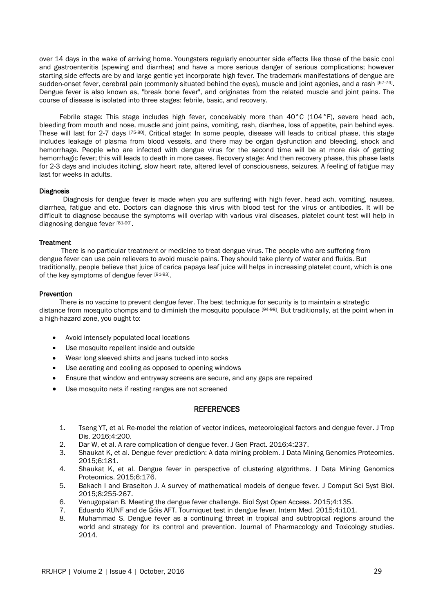over 14 days in the wake of arriving home. Youngsters regularly encounter side effects like those of the basic cool and gastroenteritis (spewing and diarrhea) and have a more serious danger of serious complications; however starting side effects are by and large gentle yet incorporate high fever. The trademark manifestations of dengue are sudden-onset fever, cerebral pain (commonly situated behind the eyes), muscle and joint agonies, and a rash [67-74]. Dengue fever is also known as, "break bone fever", and originates from the related muscle and joint pains. The course of disease is isolated into three stages: febrile, basic, and recovery.

 Febrile stage: This stage includes high fever, conceivably more than 40°C (104°F), severe head ach, bleeding from mouth and nose, muscle and joint pains, vomiting, rash, diarrhea, loss of appetite, pain behind eyes. These will last for 2-7 days <sup>[75-80]</sup>. Critical stage: In some people, disease will leads to critical phase, this stage includes leakage of plasma from blood vessels, and there may be organ dysfunction and bleeding, shock and hemorrhage. People who are infected with dengue virus for the second time will be at more risk of getting hemorrhagic fever; this will leads to death in more cases. Recovery stage: And then recovery phase, this phase lasts for 2-3 days and includes itching, slow heart rate, altered level of consciousness, seizures. A feeling of fatigue may last for weeks in adults.

#### Diagnosis

 Diagnosis for dengue fever is made when you are suffering with high fever, head ach, vomiting, nausea, diarrhea, fatigue and etc. Doctors can diagnose this virus with blood test for the virus or antibodies. It will be difficult to diagnose because the symptoms will overlap with various viral diseases, platelet count test will help in diagnosing dengue fever [81-90].

## **Treatment**

 There is no particular treatment or medicine to treat dengue virus. The people who are suffering from dengue fever can use pain relievers to avoid muscle pains. They should take plenty of water and fluids. But traditionally, people believe that juice of carica papaya leaf juice will helps in increasing platelet count, which is one of the key symptoms of dengue fever [91-93].

## Prevention

 There is no vaccine to prevent dengue fever. The best technique for security is to maintain a strategic distance from mosquito chomps and to diminish the mosquito populace [94-98]. But traditionally, at the point when in a high-hazard zone, you ought to:

- Avoid intensely populated local locations
- Use mosquito repellent inside and outside
- Wear long sleeved shirts and jeans tucked into socks
- Use aerating and cooling as opposed to opening windows
- Ensure that window and entryway screens are secure, and any gaps are repaired
- Use mosquito nets if resting ranges are not screened

# **REFERENCES**

- 1. Tseng YT, et al. Re-model the relation of vector indices, meteorological factors and dengue fever. J Trop Dis. 2016;4:200.
- 2. Dar W, et al. A rare complication of dengue fever. J Gen Pract. 2016;4:237.
- 3. Shaukat K, et al. Dengue fever prediction: A data mining problem. J Data Mining Genomics Proteomics. 2015;6:181.
- 4. Shaukat K, et al. Dengue fever in perspective of clustering algorithms. J Data Mining Genomics Proteomics. 2015;6:176.
- 5. Bakach I and Braselton J. A survey of mathematical models of dengue fever. J Comput Sci Syst Biol. 2015;8:255-267.
- 6. Venugopalan B. Meeting the dengue fever challenge. Biol Syst Open Access. 2015;4:135.
- 7. Eduardo KUNF and de Góis AFT. Tourniquet test in dengue fever. Intern Med. 2015;4:i101.
- 8. Muhammad S. Dengue fever as a continuing threat in tropical and subtropical regions around the world and strategy for its control and prevention. Journal of Pharmacology and Toxicology studies. 2014.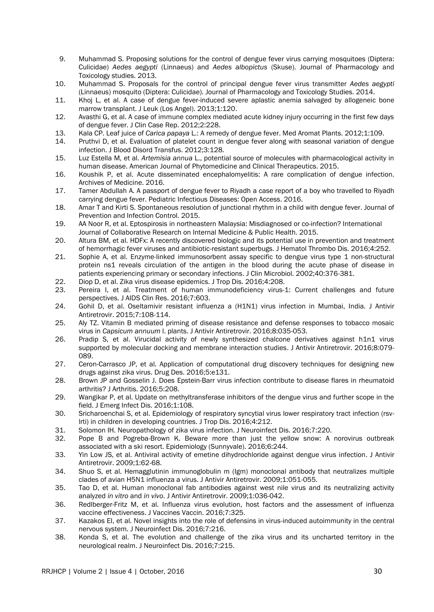- 9. Muhammad S. Proposing solutions for the control of dengue fever virus carrying mosquitoes (Diptera: Culicidae) *Aedes aegypti* (Linnaeus) and *Aedes albopictus* (Skuse). Journal of Pharmacology and Toxicology studies. 2013.
- 10. Muhammad S. Proposals for the control of principal dengue fever virus transmitter *Aedes aegypti* (Linnaeus) mosquito (Diptera: Culicidae). Journal of Pharmacology and Toxicology Studies. 2014.
- 11. Khoj L, et al. A case of dengue fever-induced severe aplastic anemia salvaged by allogeneic bone marrow transplant. J Leuk (Los Angel). 2013;1:120.
- 12. Avasthi G, et al. A case of immune complex mediated acute kidney injury occurring in the first few days of dengue fever. J Clin Case Rep. 2012;2:228.
- 13. Kala CP. Leaf juice of *Carica papaya* L.: A remedy of dengue fever. Med Aromat Plants. 2012;1:109.
- 14. Pruthvi D, et al. Evaluation of platelet count in dengue fever along with seasonal variation of dengue infection. J Blood Disord Transfus. 2012;3:128.
- 15. Luz Estella M, et al. *Artemisia annua* L., potential source of molecules with pharmacological activity in human disease. American Journal of Phytomedicine and Clinical Therapeutics. 2015.
- 16. Koushik P, et al. Acute disseminated encephalomyelitis: A rare complication of dengue infection. Archives of Medicine. 2016.
- 17. Tamer Abdullah A. A passport of dengue fever to Riyadh a case report of a boy who travelled to Riyadh carrying dengue fever. Pediatric Infectious Diseases: Open Access. 2016.
- 18. Amar T and Kirti S. Spontaneous resolution of junctional rhythm in a child with dengue fever. Journal of Prevention and Infection Control. 2015.
- 19. AA Noor R, et al. Eptospirosis in northeastern Malaysia: Misdiagnosed or co-infection? International Journal of Collaborative Research on Internal Medicine & Public Health. 2015.
- 20. Altura BM, et al. HDFx: A recently discovered biologic and its potential use in prevention and treatment of hemorrhagic fever viruses and antibiotic-resistant superbugs. J Hematol Thrombo Dis. 2016;4:252.
- 21. Sophie A, et al. Enzyme-linked immunosorbent assay specific to dengue virus type 1 non-structural protein ns1 reveals circulation of the antigen in the blood during the acute phase of disease in patients experiencing primary or secondary infections. J Clin Microbiol. 2002;40:376-381.
- 22. Diop D, et al. Zika virus disease epidemics. J Trop Dis. 2016;4:208.
- 23. Pereira I, et al. Treatment of human immunodeficiency virus-1: Current challenges and future perspectives. J AIDS Clin Res. 2016;7:603.
- 24. Gohil D, et al. Oseltamivir resistant influenza a (H1N1) virus infection in Mumbai, India. J Antivir Antiretrovir. 2015;7:108-114.
- 25. Aly TZ. Vitamin B mediated priming of disease resistance and defense responses to tobacco mosaic virus in *Capsicum annuum* l. plants. J Antivir Antiretrovir. 2016;8:035-053.
- 26. Pradip S, et al. Virucidal activity of newly synthesized chalcone derivatives against h1n1 virus supported by molecular docking and membrane interaction studies. J Antivir Antiretrovir. 2016;8:079- 089.
- 27. Ceron-Carrasco JP, et al. Application of computational drug discovery techniques for designing new drugs against zika virus. Drug Des. 2016;5:e131.
- 28. Brown JP and Gosselin J. Does Epstein-Barr virus infection contribute to disease flares in rheumatoid arthritis? J Arthritis. 2016;5:208.
- 29. Wangikar P, et al. Update on methyltransferase inhibitors of the dengue virus and further scope in the field. J Emerg Infect Dis. 2016;1:108.
- 30. Sricharoenchai S, et al. Epidemiology of respiratory syncytial virus lower respiratory tract infection (rsvlrti) in children in developing countries. J Trop Dis. 2016;4:212.
- 31. Solomon IH. Neuropathology of zika virus infection. J Neuroinfect Dis. 2016;7:220.
- 32. Pope B and Pogreba-Brown K. Beware more than just the yellow snow: A norovirus outbreak associated with a ski resort. Epidemiology (Sunnyvale). 2016;6:244.
- 33. Yin Low JS, et al. Antiviral activity of emetine dihydrochloride against dengue virus infection. J Antivir Antiretrovir. 2009;1:62-68.
- 34. Shuo S, et al. Hemagglutinin immunoglobulin m (Igm) monoclonal antibody that neutralizes multiple clades of avian H5N1 influenza a virus. J Antivir Antiretrovir. 2009;1:051-055.
- 35. Tao D, et al. Human monoclonal fab antibodies against west nile virus and its neutralizing activity analyzed *in vitro* and *in vivo*. J Antivir Antiretrovir. 2009;1:036-042.
- 36. Redlberger-Fritz M, et al. Influenza virus evolution, host factors and the assessment of influenza vaccine effectiveness. J Vaccines Vaccin. 2016;7:325.
- 37. Kazakos EI, et al. Novel insights into the role of defensins in virus-induced autoimmunity in the central nervous system. J Neuroinfect Dis. 2016;7:216.
- 38. Konda S, et al. The evolution and challenge of the zika virus and its uncharted territory in the neurological realm. J Neuroinfect Dis. 2016;7:215.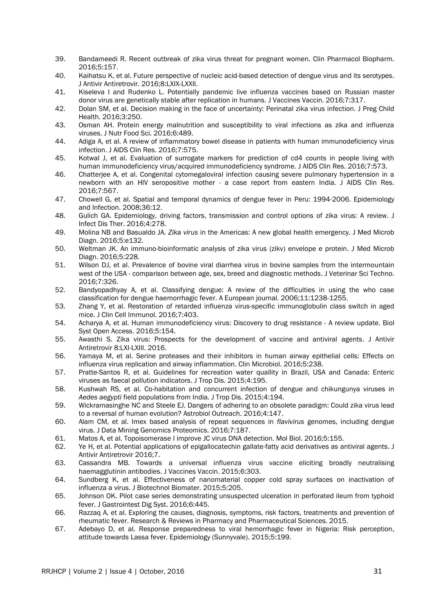- 39. Bandameedi R. Recent outbreak of zika virus threat for pregnant women. Clin Pharmacol Biopharm. 2016;5:157.
- 40. Kaihatsu K, et al. Future perspective of nucleic acid-based detection of dengue virus and its serotypes. J Antivir Antiretrovir. 2016;8:LXIX-LXXII.
- 41. Kiseleva I and Rudenko L. Potentially pandemic live influenza vaccines based on Russian master donor virus are genetically stable after replication in humans. J Vaccines Vaccin. 2016;7:317.
- 42. Dolan SM, et al. Decision making in the face of uncertainty: Perinatal zika virus infection. J Preg Child Health. 2016;3:250.
- 43. Osman AH. Protein energy malnutrition and susceptibility to viral infections as zika and influenza viruses. J Nutr Food Sci. 2016;6:489.
- 44. Adiga A, et al. A review of inflammatory bowel disease in patients with human immunodeficiency virus infection. J AIDS Clin Res. 2016;7:575.
- 45. Kotwal J, et al. Evaluation of surrogate markers for prediction of cd4 counts in people living with human immunodeficiency virus/acquired immunodeficiency syndrome. J AIDS Clin Res. 2016;7:573.
- 46. Chatterjee A, et al. Congenital cytomegaloviral infection causing severe pulmonary hypertension in a newborn with an HIV seropositive mother - a case report from eastern India. J AIDS Clin Res. 2016;7:567.
- 47. Chowell G, et al. Spatial and temporal dynamics of dengue fever in Peru: 1994-2006. Epidemiology and Infection. 2008;36:12.
- 48. Gulich GA. Epidemiology, driving factors, transmission and control options of zika virus: A review. J Infect Dis Ther. 2016;4:278.
- 49. Molina NB and Basualdo JA. *Zika virus* in the Americas: A new global health emergency. J Med Microb Diagn. 2016;5:e132.
- 50. Weltman JK. An immuno-bioinformatic analysis of zika virus (zikv) envelope e protein. J Med Microb Diagn. 2016;5:228.
- 51. Wilson DJ, et al. Prevalence of bovine viral diarrhea virus in bovine samples from the intermountain west of the USA - comparison between age, sex, breed and diagnostic methods. J Veterinar Sci Techno. 2016;7:326.
- 52. Bandyopadhyay A, et al. Classifying dengue: A review of the difficulties in using the who case classification for dengue haemorrhagic fever. A European journal. 2006;11:1238-1255.
- 53. Zhang Y, et al. Restoration of retarded influenza virus-specific immunoglobulin class switch in aged mice. J Clin Cell Immunol. 2016;7:403.
- 54. Acharya A, et al. Human immunodeficiency virus: Discovery to drug resistance A review update. Biol Syst Open Access. 2016;5:154.
- 55. Awasthi S. Zika virus: Prospects for the development of vaccine and antiviral agents. J Antivir Antiretrovir 8:LXI-LXIII. 2016.
- 56. Yamaya M, et al. Serine proteases and their inhibitors in human airway epithelial cells: Effects on influenza virus replication and airway inflammation. Clin Microbiol. 2016;5:238.
- 57. Pratte-Santos R, et al. Guidelines for recreation water quallity in Brazil, USA and Canada: Enteric viruses as faecal pollution indicators. J Trop Dis. 2015;4:195.
- 58. Kushwah RS, et al. Co-habitation and concurrent infection of dengue and chikungunya viruses in *Aedes aegypti* field populations from India. J Trop Dis. 2015;4:194.
- 59. Wickramasinghe NC and Steele EJ. Dangers of adhering to an obsolete paradigm: Could zika virus lead to a reversal of human evolution? Astrobiol Outreach. 2016;4:147.
- 60. Alam CM, et al. Imex based analysis of repeat sequences in *flavivirus* genomes, including dengue virus. J Data Mining Genomics Proteomics. 2016;7:187.
- 61. Matos A, et al. Topoisomerase I improve JC virus DNA detection. Mol Biol. 2016;5:155.
- 62. Ye H, et al. Potential applications of epigallocatechin gallate-fatty acid derivatives as antiviral agents. J Antivir Antiretrovir 2016;7.
- 63. Cassandra MB. Towards a universal influenza virus vaccine eliciting broadly neutralising haemagglutinin antibodies. J Vaccines Vaccin. 2015;6:303.
- 64. Sundberg K, et al. Effectiveness of nanomaterial copper cold spray surfaces on inactivation of influenza a virus. J Biotechnol Biomater. 2015;5:205.
- 65. Johnson OK. Pilot case series demonstrating unsuspected ulceration in perforated ileum from typhoid fever. J Gastrointest Dig Syst. 2016;6:445.
- 66. Razzaq A, et al. Exploring the causes, diagnosis, symptoms, risk factors, treatments and prevention of rheumatic fever. Research & Reviews in Pharmacy and Pharmaceutical Sciences. 2015.
- 67. Adebayo D, et al. Response preparedness to viral hemorrhagic fever in Nigeria: Risk perception, attitude towards Lassa fever. Epidemiology (Sunnyvale). 2015;5:199.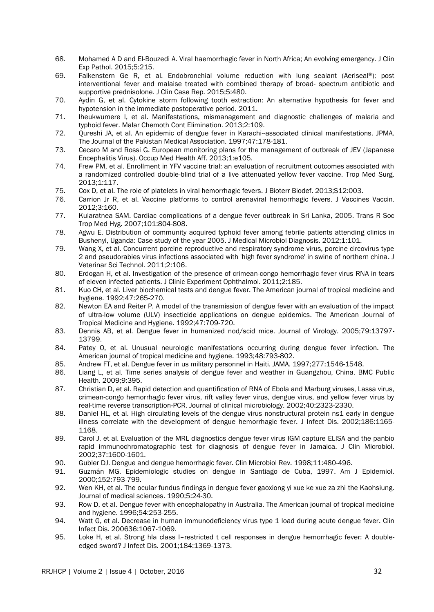- 68. Mohamed A D and El-Bouzedi A. Viral haemorrhagic fever in North Africa; An evolving emergency. J Clin Exp Pathol. 2015;5:215.
- 69. Falkenstern Ge R, et al. Endobronchial volume reduction with lung sealant (Aeriseal®); post interventional fever and malaise treated with combined therapy of broad- spectrum antibiotic and supportive prednisolone. J Clin Case Rep. 2015;5:480.
- 70. Aydin G, et al. Cytokine storm following tooth extraction: An alternative hypothesis for fever and hypotension in the immediate postoperative period. 2011.
- 71. Iheukwumere I, et al. Manifestations, mismanagement and diagnostic challenges of malaria and typhoid fever. Malar Chemoth Cont Elimination. 2013;2:109.
- 72. Qureshi JA, et al. An epidemic of dengue fever in Karachi--associated clinical manifestations. JPMA. The Journal of the Pakistan Medical Association. 1997;47:178-181.
- 73. Cecaro M and Rossi G. European monitoring plans for the management of outbreak of JEV (Japanese Encephalitis Virus). Occup Med Health Aff. 2013;1:e105.
- 74. Frew PM, et al. Enrollment in YFV vaccine trial: an evaluation of recruitment outcomes associated with a randomized controlled double-blind trial of a live attenuated yellow fever vaccine. Trop Med Surg. 2013;1:117.
- 75. Cox D, et al. The role of platelets in viral hemorrhagic fevers. J Bioterr Biodef. 2013;S12:003.
- 76. Carrion Jr R, et al. Vaccine platforms to control arenaviral hemorrhagic fevers. J Vaccines Vaccin. 2012;3:160.
- 77. Kularatnea SAM. Cardiac complications of a dengue fever outbreak in Sri Lanka, 2005. Trans R Soc Trop Med Hyg. 2007;101:804-808.
- 78. Agwu E. Distribution of community acquired typhoid fever among febrile patients attending clinics in Bushenyi, Uganda: Case study of the year 2005. J Medical Microbiol Diagnosis. 2012;1:101.
- 79. Wang X, et al. Concurrent porcine reproductive and respiratory syndrome virus, porcine circovirus type 2 and pseudorabies virus infections associated with 'high fever syndrome' in swine of northern china. J Veterinar Sci Technol. 2011;2:106.
- 80. Erdogan H, et al. Investigation of the presence of crimean-congo hemorrhagic fever virus RNA in tears of eleven infected patients. J Clinic Experiment Ophthalmol. 2011;2:185.
- 81. Kuo CH, et al. Liver biochemical tests and dengue fever. The American journal of tropical medicine and hygiene. 1992;47:265-270.
- 82. Newton EA and Reiter P. A model of the transmission of dengue fever with an evaluation of the impact of ultra-low volume (ULV) insecticide applications on dengue epidemics. The American Journal of Tropical Medicine and Hygiene. 1992;47:709-720.
- 83. Dennis AB, et al. Dengue fever in humanized nod/scid mice. Journal of Virology. 2005;79:13797- 13799.
- 84. Patey O, et al. Unusual neurologic manifestations occurring during dengue fever infection. The American journal of tropical medicine and hygiene. 1993;48:793-802.
- 85. Andrew FT, et al. Dengue fever in us military personnel in Haiti. JAMA. 1997;277:1546-1548.
- 86. Liang L, et al. Time series analysis of dengue fever and weather in Guangzhou, China. BMC Public Health. 2009;9:395.
- 87. Christian D, et al. Rapid detection and quantification of RNA of Ebola and Marburg viruses, Lassa virus, crimean-congo hemorrhagic fever virus, rift valley fever virus, dengue virus, and yellow fever virus by real-time reverse transcription-PCR. Journal of clinical microbiology. 2002;40:2323-2330.
- 88. Daniel HL, et al. High circulating levels of the dengue virus nonstructural protein ns1 early in dengue illness correlate with the development of dengue hemorrhagic fever. J Infect Dis. 2002;186:1165- 1168.
- 89. Carol J, et al. Evaluation of the MRL diagnostics dengue fever virus IGM capture ELISA and the panbio rapid immunochromatographic test for diagnosis of dengue fever in Jamaica. J Clin Microbiol. 2002;37:1600-1601.
- 90. Gubler DJ. Dengue and dengue hemorrhagic fever. Clin Microbiol Rev. 1998;11:480-496.
- 91. Guzmán MG. Epidemiologic studies on dengue in Santiago de Cuba, 1997. Am J Epidemiol. 2000;152:793-799.
- 92. Wen KH, et al. The ocular fundus findings in dengue fever gaoxiong yi xue ke xue za zhi the Kaohsiung. Journal of medical sciences. 1990;5:24-30.
- 93. Row D, et al. Dengue fever with encephalopathy in Australia. The American journal of tropical medicine and hygiene. 1996;54:253-255.
- 94. Watt G, et al. Decrease in human immunodeficiency virus type 1 load during acute dengue fever. Clin Infect Dis. 200636:1067-1069.
- 95. Loke H, et al. Strong hla class I–restricted t cell responses in dengue hemorrhagic fever: A doubleedged sword? J Infect Dis. 2001;184:1369-1373.